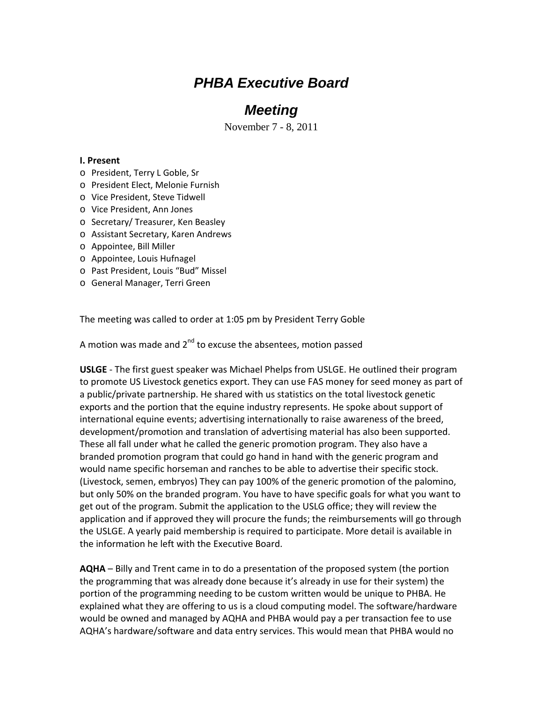# *PHBA Executive Board*

## *Meeting*

November 7 - 8, 2011

### **I. Present**

- o President, Terry L Goble, Sr
- o President Elect, Melonie Furnish
- o Vice President, Steve Tidwell
- o Vice President, Ann Jones
- o Secretary/ Treasurer, Ken Beasley
- o Assistant Secretary, Karen Andrews
- o Appointee, Bill Miller
- o Appointee, Louis Hufnagel
- o Past President, Louis "Bud" Missel
- o General Manager, Terri Green

The meeting was called to order at 1:05 pm by President Terry Goble

A motion was made and  $2^{nd}$  to excuse the absentees, motion passed

**USLGE** ‐ The first guest speaker was Michael Phelps from USLGE. He outlined their program to promote US Livestock genetics export. They can use FAS money for seed money as part of a public/private partnership. He shared with us statistics on the total livestock genetic exports and the portion that the equine industry represents. He spoke about support of international equine events; advertising internationally to raise awareness of the breed, development/promotion and translation of advertising material has also been supported. These all fall under what he called the generic promotion program. They also have a branded promotion program that could go hand in hand with the generic program and would name specific horseman and ranches to be able to advertise their specific stock. (Livestock, semen, embryos) They can pay 100% of the generic promotion of the palomino, but only 50% on the branded program. You have to have specific goals for what you want to get out of the program. Submit the application to the USLG office; they will review the application and if approved they will procure the funds; the reimbursements will go through the USLGE. A yearly paid membership is required to participate. More detail is available in the information he left with the Executive Board.

**AQHA** – Billy and Trent came in to do a presentation of the proposed system (the portion the programming that was already done because it's already in use for their system) the portion of the programming needing to be custom written would be unique to PHBA. He explained what they are offering to us is a cloud computing model. The software/hardware would be owned and managed by AQHA and PHBA would pay a per transaction fee to use AQHA's hardware/software and data entry services. This would mean that PHBA would no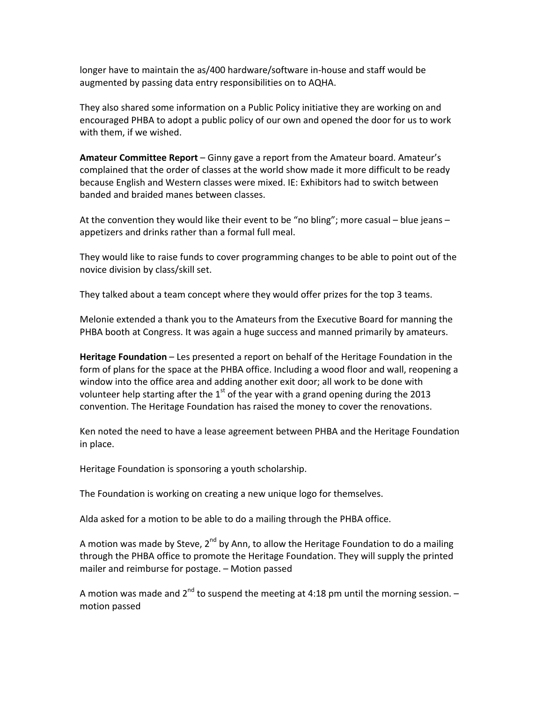longer have to maintain the as/400 hardware/software in‐house and staff would be augmented by passing data entry responsibilities on to AQHA.

They also shared some information on a Public Policy initiative they are working on and encouraged PHBA to adopt a public policy of our own and opened the door for us to work with them, if we wished.

**Amateur Committee Report** – Ginny gave a report from the Amateur board. Amateur's complained that the order of classes at the world show made it more difficult to be ready because English and Western classes were mixed. IE: Exhibitors had to switch between banded and braided manes between classes.

At the convention they would like their event to be "no bling"; more casual – blue jeans – appetizers and drinks rather than a formal full meal.

They would like to raise funds to cover programming changes to be able to point out of the novice division by class/skill set.

They talked about a team concept where they would offer prizes for the top 3 teams.

Melonie extended a thank you to the Amateurs from the Executive Board for manning the PHBA booth at Congress. It was again a huge success and manned primarily by amateurs.

**Heritage Foundation** – Les presented a report on behalf of the Heritage Foundation in the form of plans for the space at the PHBA office. Including a wood floor and wall, reopening a window into the office area and adding another exit door; all work to be done with volunteer help starting after the  $1<sup>st</sup>$  of the year with a grand opening during the 2013 convention. The Heritage Foundation has raised the money to cover the renovations.

Ken noted the need to have a lease agreement between PHBA and the Heritage Foundation in place.

Heritage Foundation is sponsoring a youth scholarship.

The Foundation is working on creating a new unique logo for themselves.

Alda asked for a motion to be able to do a mailing through the PHBA office.

A motion was made by Steve,  $2^{nd}$  by Ann, to allow the Heritage Foundation to do a mailing through the PHBA office to promote the Heritage Foundation. They will supply the printed mailer and reimburse for postage. – Motion passed

A motion was made and  $2<sup>nd</sup>$  to suspend the meeting at 4:18 pm until the morning session.  $$ motion passed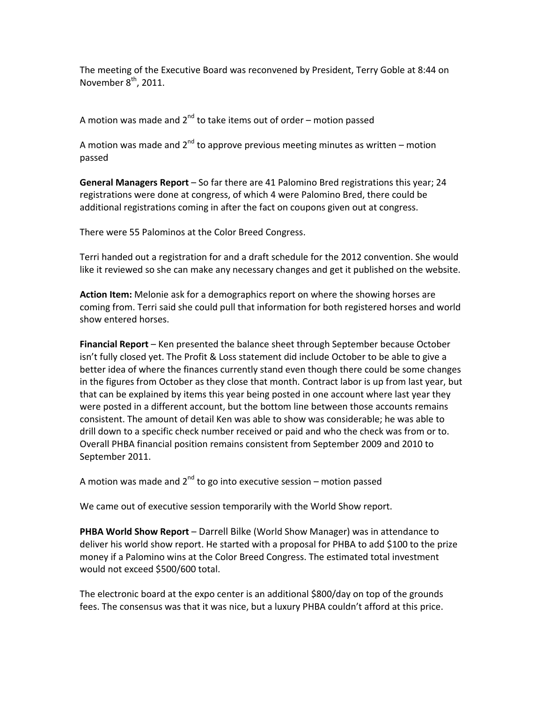The meeting of the Executive Board was reconvened by President, Terry Goble at 8:44 on November  $8<sup>th</sup>$ , 2011.

A motion was made and  $2^{nd}$  to take items out of order – motion passed

A motion was made and  $2^{nd}$  to approve previous meeting minutes as written – motion passed

**General Managers Report** – So far there are 41 Palomino Bred registrations this year; 24 registrations were done at congress, of which 4 were Palomino Bred, there could be additional registrations coming in after the fact on coupons given out at congress.

There were 55 Palominos at the Color Breed Congress.

Terri handed out a registration for and a draft schedule for the 2012 convention. She would like it reviewed so she can make any necessary changes and get it published on the website.

**Action Item:** Melonie ask for a demographics report on where the showing horses are coming from. Terri said she could pull that information for both registered horses and world show entered horses.

**Financial Report** – Ken presented the balance sheet through September because October isn't fully closed yet. The Profit & Loss statement did include October to be able to give a better idea of where the finances currently stand even though there could be some changes in the figures from October as they close that month. Contract labor is up from last year, but that can be explained by items this year being posted in one account where last year they were posted in a different account, but the bottom line between those accounts remains consistent. The amount of detail Ken was able to show was considerable; he was able to drill down to a specific check number received or paid and who the check was from or to. Overall PHBA financial position remains consistent from September 2009 and 2010 to September 2011.

A motion was made and  $2^{nd}$  to go into executive session – motion passed

We came out of executive session temporarily with the World Show report.

**PHBA World Show Report** – Darrell Bilke (World Show Manager) was in attendance to deliver his world show report. He started with a proposal for PHBA to add \$100 to the prize money if a Palomino wins at the Color Breed Congress. The estimated total investment would not exceed \$500/600 total.

The electronic board at the expo center is an additional \$800/day on top of the grounds fees. The consensus was that it was nice, but a luxury PHBA couldn't afford at this price.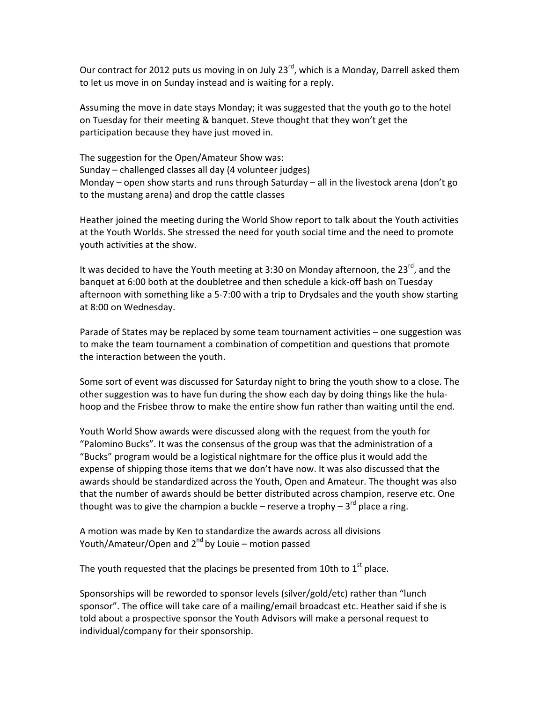Our contract for 2012 puts us moving in on July 23<sup>rd</sup>, which is a Monday, Darrell asked them to let us move in on Sunday instead and is waiting for a reply.

Assuming the move in date stays Monday; it was suggested that the youth go to the hotel on Tuesday for their meeting & banquet. Steve thought that they won't get the participation because they have just moved in.

The suggestion for the Open/Amateur Show was: Sunday – challenged classes all day (4 volunteer judges) Monday – open show starts and runs through Saturday – all in the livestock arena (don't go to the mustang arena) and drop the cattle classes

Heather joined the meeting during the World Show report to talk about the Youth activities at the Youth Worlds. She stressed the need for youth social time and the need to promote youth activities at the show.

It was decided to have the Youth meeting at 3:30 on Monday afternoon, the 23 $^{rd}$ , and the banquet at 6:00 both at the doubletree and then schedule a kick‐off bash on Tuesday afternoon with something like a 5‐7:00 with a trip to Drydsales and the youth show starting at 8:00 on Wednesday.

Parade of States may be replaced by some team tournament activities – one suggestion was to make the team tournament a combination of competition and questions that promote the interaction between the youth.

Some sort of event was discussed for Saturday night to bring the youth show to a close. The other suggestion was to have fun during the show each day by doing things like the hula‐ hoop and the Frisbee throw to make the entire show fun rather than waiting until the end.

Youth World Show awards were discussed along with the request from the youth for "Palomino Bucks". It was the consensus of the group was that the administration of a "Bucks" program would be a logistical nightmare for the office plus it would add the expense of shipping those items that we don't have now. It was also discussed that the awards should be standardized across the Youth, Open and Amateur. The thought was also that the number of awards should be better distributed across champion, reserve etc. One thought was to give the champion a buckle – reserve a trophy –  $3^{rd}$  place a ring.

A motion was made by Ken to standardize the awards across all divisions Youth/Amateur/Open and 2<sup>nd</sup> by Louie – motion passed

The youth requested that the placings be presented from 10th to  $1<sup>st</sup>$  place.

Sponsorships will be reworded to sponsor levels (silver/gold/etc) rather than "lunch sponsor". The office will take care of a mailing/email broadcast etc. Heather said if she is told about a prospective sponsor the Youth Advisors will make a personal request to individual/company for their sponsorship.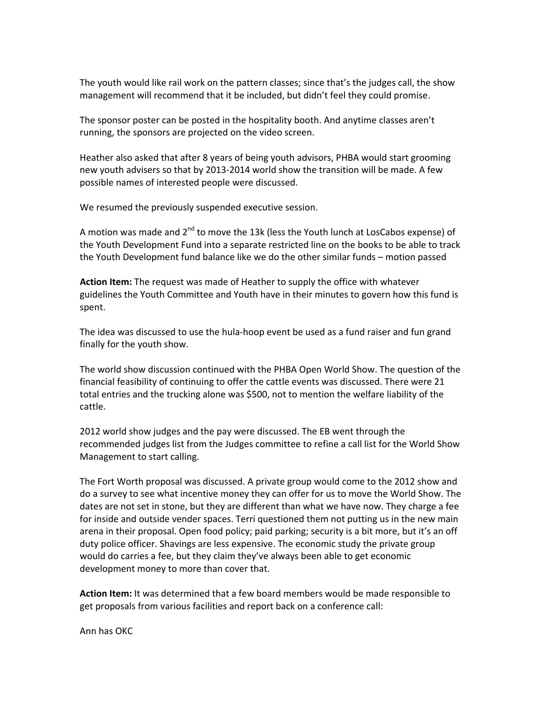The youth would like rail work on the pattern classes; since that's the judges call, the show management will recommend that it be included, but didn't feel they could promise.

The sponsor poster can be posted in the hospitality booth. And anytime classes aren't running, the sponsors are projected on the video screen.

Heather also asked that after 8 years of being youth advisors, PHBA would start grooming new youth advisers so that by 2013‐2014 world show the transition will be made. A few possible names of interested people were discussed.

We resumed the previously suspended executive session.

A motion was made and  $2^{nd}$  to move the 13k (less the Youth lunch at LosCabos expense) of the Youth Development Fund into a separate restricted line on the books to be able to track the Youth Development fund balance like we do the other similar funds – motion passed

**Action Item:** The request was made of Heather to supply the office with whatever guidelines the Youth Committee and Youth have in their minutes to govern how this fund is spent.

The idea was discussed to use the hula‐hoop event be used as a fund raiser and fun grand finally for the youth show.

The world show discussion continued with the PHBA Open World Show. The question of the financial feasibility of continuing to offer the cattle events was discussed. There were 21 total entries and the trucking alone was \$500, not to mention the welfare liability of the cattle.

2012 world show judges and the pay were discussed. The EB went through the recommended judges list from the Judges committee to refine a call list for the World Show Management to start calling.

The Fort Worth proposal was discussed. A private group would come to the 2012 show and do a survey to see what incentive money they can offer for us to move the World Show. The dates are not set in stone, but they are different than what we have now. They charge a fee for inside and outside vender spaces. Terri questioned them not putting us in the new main arena in their proposal. Open food policy; paid parking; security is a bit more, but it's an off duty police officer. Shavings are less expensive. The economic study the private group would do carries a fee, but they claim they've always been able to get economic development money to more than cover that.

**Action Item:** It was determined that a few board members would be made responsible to get proposals from various facilities and report back on a conference call:

Ann has OKC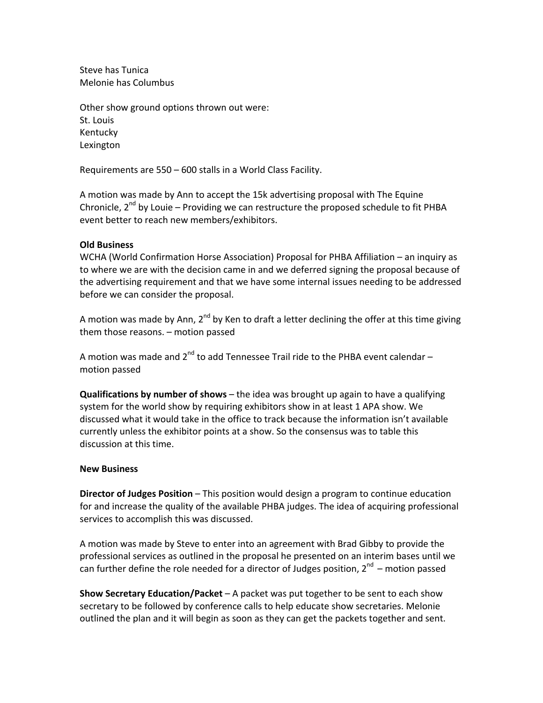Steve has Tunica Melonie has Columbus

Other show ground options thrown out were: St. Louis Kentucky Lexington

Requirements are 550 – 600 stalls in a World Class Facility.

A motion was made by Ann to accept the 15k advertising proposal with The Equine Chronicle,  $2^{nd}$  by Louie – Providing we can restructure the proposed schedule to fit PHBA event better to reach new members/exhibitors.

### **Old Business**

WCHA (World Confirmation Horse Association) Proposal for PHBA Affiliation – an inquiry as to where we are with the decision came in and we deferred signing the proposal because of the advertising requirement and that we have some internal issues needing to be addressed before we can consider the proposal.

A motion was made by Ann,  $2^{nd}$  by Ken to draft a letter declining the offer at this time giving them those reasons. – motion passed

A motion was made and  $2^{nd}$  to add Tennessee Trail ride to the PHBA event calendar – motion passed

**Qualifications by number of shows** – the idea was brought up again to have a qualifying system for the world show by requiring exhibitors show in at least 1 APA show. We discussed what it would take in the office to track because the information isn't available currently unless the exhibitor points at a show. So the consensus was to table this discussion at this time.

#### **New Business**

**Director of Judges Position** – This position would design a program to continue education for and increase the quality of the available PHBA judges. The idea of acquiring professional services to accomplish this was discussed.

A motion was made by Steve to enter into an agreement with Brad Gibby to provide the professional services as outlined in the proposal he presented on an interim bases until we can further define the role needed for a director of Judges position,  $2^{nd}$  – motion passed

**Show Secretary Education/Packet** – A packet was put together to be sent to each show secretary to be followed by conference calls to help educate show secretaries. Melonie outlined the plan and it will begin as soon as they can get the packets together and sent.